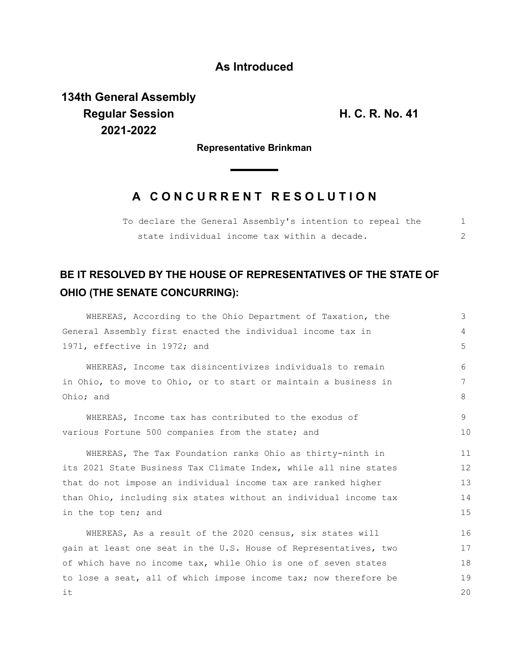## **As Introduced**

**134th General Assembly Regular Session H. C. R. No. 41 2021-2022**

**Representative Brinkman**

## **A C O N C U R R E N T R E S O L U T I O N**

|  |  |  |                                              | To declare the General Assembly's intention to repeal the |  |
|--|--|--|----------------------------------------------|-----------------------------------------------------------|--|
|  |  |  | state individual income tax within a decade. |                                                           |  |

## **BE IT RESOLVED BY THE HOUSE OF REPRESENTATIVES OF THE STATE OF OHIO (THE SENATE CONCURRING):**

| WHEREAS, According to the Ohio Department of Taxation, the       | 3  |
|------------------------------------------------------------------|----|
| General Assembly first enacted the individual income tax in      | 4  |
| 1971, effective in 1972; and                                     | 5  |
| WHEREAS, Income tax disincentivizes individuals to remain        | 6  |
| in Ohio, to move to Ohio, or to start or maintain a business in  | 7  |
| Ohio; and                                                        | 8  |
| WHEREAS, Income tax has contributed to the exodus of             | 9  |
| various Fortune 500 companies from the state; and                | 10 |
| WHEREAS, The Tax Foundation ranks Ohio as thirty-ninth in        | 11 |
| its 2021 State Business Tax Climate Index, while all nine states | 12 |
| that do not impose an individual income tax are ranked higher    | 13 |
| than Ohio, including six states without an individual income tax | 14 |
| in the top ten; and                                              | 15 |
| WHEREAS, As a result of the 2020 census, six states will         | 16 |
| gain at least one seat in the U.S. House of Representatives, two | 17 |
| of which have no income tax, while Ohio is one of seven states   | 18 |
| to lose a seat, all of which impose income tax; now therefore be | 19 |
| it                                                               | 20 |
|                                                                  |    |